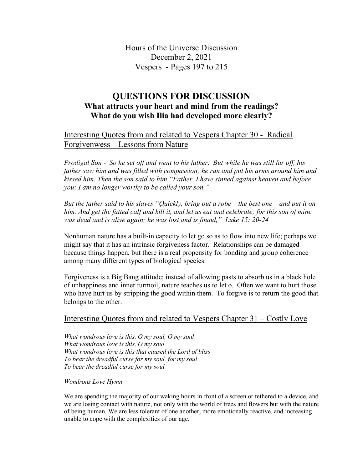Hours of the Universe Discussion December 2, 2021 Vespers - Pages 197 to 215

# **QUESTIONS FOR DISCUSSION What attracts your heart and mind from the readings? What do you wish Ilia had developed more clearly?**

# Interesting Quotes from and related to Vespers Chapter 30 - Radical Forgivenwess – Lessons from Nature

*Prodigal Son - So he set off and went to his father. But while he was still far off, his father saw him and was filled with compassion; he ran and put his arms around him and kissed him. Then the son said to him "Father, I have sinned against heaven and before you; I am no longer worthy to be called your son."*

*But the father said to his slaves "Quickly, bring out a robe – the best one – and put it on*  him. And get the fatted calf and kill it, and let us eat and celebrate; for this son of mine *was dead and is alive again; he was lost and is found," Luke 15: 20-24*

Nonhuman nature has a built-in capacity to let go so as to flow into new life; perhaps we might say that it has an intrinsic forgiveness factor. Relationships can be damaged because things happen, but there is a real propensity for bonding and group coherence among many different types of biological species.

Forgiveness is a Big Bang attitude; instead of allowing pasts to absorb us in a black hole of unhappiness and inner turmoil, nature teaches us to let o. Often we want to hurt those who have hurt us by stripping the good within them. To forgive is to return the good that belongs to the other.

### Interesting Quotes from and related to Vespers Chapter 31 – Costly Love

*What wondrous love is this, O my soul, O my soul What wondrous love is this, O my soul What wondrous love is this that caused the Lord of bliss To bear the dreadful curse for my soul, for my soul To bear the dreadful curse for my soul*

*Wondrous Love Hymn*

We are spending the majority of our waking hours in front of a screen or tethered to a device, and we are losing contact with nature, not only with the world of trees and flowers but with the nature of being human. We are less tolerant of one another, more emotionally reactive, and increasing unable to cope with the complexities of our age.